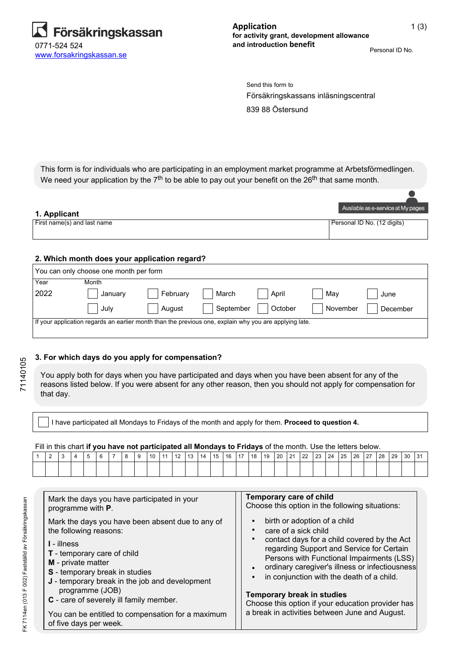

Personal ID No.

Försäkringskassans inläsningscentral Send this form to

839 88 Östersund

This form is for individuals who are participating in an employment market programme at Arbetsförmedlingen. We need your application by the  $7<sup>th</sup>$  to be able to pay out your benefit on the  $26<sup>th</sup>$  that same month.

|                             | Available as e-service at My pages |
|-----------------------------|------------------------------------|
| 1. Applicant                |                                    |
| First name(s) and last name | Personal ID No. (12 digits)        |
|                             |                                    |
|                             |                                    |

# **2. Which month does your application regard?**

| You can only choose one month per form                                                                 |         |          |           |         |          |          |  |  |  |  |  |
|--------------------------------------------------------------------------------------------------------|---------|----------|-----------|---------|----------|----------|--|--|--|--|--|
| Year                                                                                                   | Month   |          |           |         |          |          |  |  |  |  |  |
| 2022                                                                                                   | January | February | March     | April   | May      | June     |  |  |  |  |  |
|                                                                                                        | , July  | August   | September | October | November | December |  |  |  |  |  |
| If your application regards an earlier month than the previous one, explain why you are applying late. |         |          |           |         |          |          |  |  |  |  |  |

### **3. For which days do you apply for compensation?**

You apply both for days when you have participated and days when you have been absent for any of the reasons listed below. If you were absent for any other reason, then you should not apply for compensation for that day.

I have participated all Mondays to Fridays of the month and apply for them. **Proceed to question 4.**

Fill in this chart **if you have not participated all Mondays to Fridays** of the month. Use the letters below.

| <u>.</u> | $\sim$ |  | ĥ. | 8 | -9 | 10 |  | 11   12   13   14   15 | l 16 l |  |  | 17   18   19   20   21   22   23   24 |  |  | 25   26   27 | l 28 | l 29 | $ 30\rangle$ | 31 |
|----------|--------|--|----|---|----|----|--|------------------------|--------|--|--|---------------------------------------|--|--|--------------|------|------|--------------|----|
|          |        |  |    |   |    |    |  |                        |        |  |  |                                       |  |  |              |      |      |              |    |

| Mark the days you have participated in your<br>programme with <b>P</b> .                                                                                           | Temporary care of child<br>Choose this option in the following situations:                                                                                                            |
|--------------------------------------------------------------------------------------------------------------------------------------------------------------------|---------------------------------------------------------------------------------------------------------------------------------------------------------------------------------------|
| Mark the days you have been absent due to any of<br>the following reasons:                                                                                         | birth or adoption of a child<br>care of a sick child<br>contact days for a child covered by the Act                                                                                   |
| <b>I</b> - illness<br><b>T</b> - temporary care of child<br>M - private matter<br>S - temporary break in studies<br>J - temporary break in the job and development | regarding Support and Service for Certain<br>Persons with Functional Impairments (LSS)<br>ordinary caregiver's illness or infectiousness<br>in conjunction with the death of a child. |
| programme (JOB)<br>C - care of severely ill family member.                                                                                                         | Temporary break in studies<br>Choose this option if your education provider has<br>a break in activities between June and August.                                                     |
| You can be entitled to compensation for a maximum<br>of five days per week.                                                                                        |                                                                                                                                                                                       |

71140105

71140105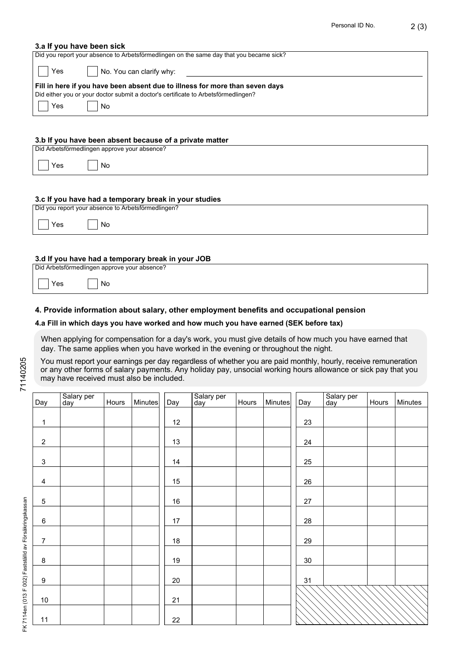# **3.a If you have been sick**

| Did you report your absence to Arbetsförmedlingen on the same day that you became sick?                                                                                          |  |  |  |  |  |  |  |  |
|----------------------------------------------------------------------------------------------------------------------------------------------------------------------------------|--|--|--|--|--|--|--|--|
| Yes<br>No. You can clarify why:                                                                                                                                                  |  |  |  |  |  |  |  |  |
| Fill in here if you have been absent due to illness for more than seven days<br>Did either you or your doctor submit a doctor's certificate to Arbetsförmedlingen?<br>Yes<br>No. |  |  |  |  |  |  |  |  |
| 3.b If you have been absent because of a private matter                                                                                                                          |  |  |  |  |  |  |  |  |

#### **3.b If you have been absent because of a private matter**

|             | Did Arbetsförmedlingen approve your absence? |
|-------------|----------------------------------------------|
| $\vert$ Yes | No                                           |
|             |                                              |

# **3.c If you have had a temporary break in your studies**

| Did you report your absence to Arbetsförmedlingen? |    |  |  |  |  |  |  |  |  |
|----------------------------------------------------|----|--|--|--|--|--|--|--|--|
| Yes                                                | No |  |  |  |  |  |  |  |  |

### **3.d If you have had a temporary break in your JOB**

| Did Arbetsförmedlingen approve your absence? |  |
|----------------------------------------------|--|

No

 $\sqrt{ }$ 

# **4. Provide information about salary, other employment benefits and occupational pension**

# **4.a Fill in which days you have worked and how much you have earned (SEK before tax)**

When applying for compensation for a day's work, you must give details of how much you have earned that day. The same applies when you have worked in the evening or throughout the night.

You must report your earnings per day regardless of whether you are paid monthly, hourly, receive remuneration or any other forms of salary payments. Any holiday pay, unsocial working hours allowance or sick pay that you may have received must also be included.

| Day              | Salary per<br>day | Hours | <b>Minutes</b> | Day    | Salary per<br>day | Hours | <b>Minutes</b> | Day | Salary per<br>day | Hours | Minutes |
|------------------|-------------------|-------|----------------|--------|-------------------|-------|----------------|-----|-------------------|-------|---------|
| $\mathbf{1}$     |                   |       |                | 12     |                   |       |                | 23  |                   |       |         |
|                  |                   |       |                |        |                   |       |                |     |                   |       |         |
| $\overline{2}$   |                   |       |                | 13     |                   |       |                | 24  |                   |       |         |
| $\mathbf{3}$     |                   |       |                | 14     |                   |       |                | 25  |                   |       |         |
| $\overline{4}$   |                   |       |                | 15     |                   |       |                | 26  |                   |       |         |
| $\sqrt{5}$       |                   |       |                | $16\,$ |                   |       |                | 27  |                   |       |         |
| $\,6\,$          |                   |       |                | $17\,$ |                   |       |                | 28  |                   |       |         |
| $\overline{7}$   |                   |       |                | 18     |                   |       |                | 29  |                   |       |         |
| $\bf 8$          |                   |       |                | 19     |                   |       |                | 30  |                   |       |         |
| $\boldsymbol{9}$ |                   |       |                | 20     |                   |       |                | 31  |                   |       |         |
| 10               |                   |       |                | 21     |                   |       |                |     |                   |       |         |
| 11               |                   |       |                | 22     |                   |       |                |     |                   |       |         |